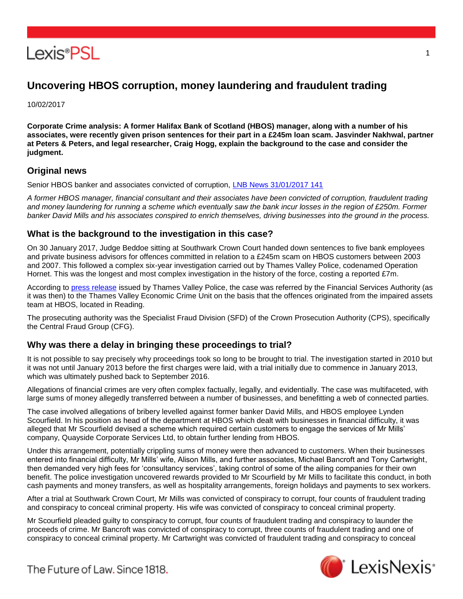

# **Uncovering HBOS corruption, money laundering and fraudulent trading**

10/02/2017

**Corporate Crime analysis: A former Halifax Bank of Scotland (HBOS) manager, along with a number of his associates, were recently given prison sentences for their part in a £245m loan scam. Jasvinder Nakhwal, partner at Peters & Peters, and legal researcher, Craig Hogg, explain the background to the case and consider the judgment.**

# **Original news**

Senior HBOS banker and associates convicted of corruption, [LNB News 31/01/2017 141](http://www.lexisnexis.com/uk/lexispsl/corporate/linkHandler.faces?ps=null&bct=A&homeCsi=412012&A=0.6524950118073847&urlEnc=ISO-8859-1&&remotekey1=DIGEST-CITATION(LNB%20News%2031/01/2017%20141)&remotekey2=All%20Subscribed%20Current%20Awareness%20Sources&dpsi=0S4D&cmd=f:exp&service=QUERY&origdpsi=0S4D)

*A former HBOS manager, financial consultant and their associates have been convicted of corruption, fraudulent trading and money laundering for running a scheme which eventually saw the bank incur losses in the region of £250m. Former banker David Mills and his associates conspired to enrich themselves, driving businesses into the ground in the process.*

# **What is the background to the investigation in this case?**

On 30 January 2017, Judge Beddoe sitting at Southwark Crown Court handed down sentences to five bank employees and private business advisors for offences committed in relation to a £245m scam on HBOS customers between 2003 and 2007. This followed a complex six-year investigation carried out by Thames Valley Police, codenamed Operation Hornet. This was the longest and most complex investigation in the history of the force, costing a reported £7m.

According to [press release](http://http/www.thamesvalley.police.uk/newsevents/newsevents-pressreleases/newsevents-pressreleases-item.htm?id=348222) issued by Thames Valley Police, the case was referred by the Financial Services Authority (as it was then) to the Thames Valley Economic Crime Unit on the basis that the offences originated from the impaired assets team at HBOS, located in Reading.

The prosecuting authority was the Specialist Fraud Division (SFD) of the Crown Prosecution Authority (CPS), specifically the Central Fraud Group (CFG).

# **Why was there a delay in bringing these proceedings to trial?**

It is not possible to say precisely why proceedings took so long to be brought to trial. The investigation started in 2010 but it was not until January 2013 before the first charges were laid, with a trial initially due to commence in January 2013, which was ultimately pushed back to September 2016.

Allegations of financial crimes are very often complex factually, legally, and evidentially. The case was multifaceted, with large sums of money allegedly transferred between a number of businesses, and benefitting a web of connected parties.

The case involved allegations of bribery levelled against former banker David Mills, and HBOS employee Lynden Scourfield. In his position as head of the department at HBOS which dealt with businesses in financial difficulty, it was alleged that Mr Scourfield devised a scheme which required certain customers to engage the services of Mr Mills' company, Quayside Corporate Services Ltd, to obtain further lending from HBOS.

Under this arrangement, potentially crippling sums of money were then advanced to customers. When their businesses entered into financial difficulty, Mr Mills' wife, Alison Mills, and further associates, Michael Bancroft and Tony Cartwright, then demanded very high fees for 'consultancy services', taking control of some of the ailing companies for their own benefit. The police investigation uncovered rewards provided to Mr Scourfield by Mr Mills to facilitate this conduct, in both cash payments and money transfers, as well as hospitality arrangements, foreign holidays and payments to sex workers.

After a trial at Southwark Crown Court, Mr Mills was convicted of conspiracy to corrupt, four counts of fraudulent trading and conspiracy to conceal criminal property. His wife was convicted of conspiracy to conceal criminal property.

Mr Scourfield pleaded guilty to conspiracy to corrupt, four counts of fraudulent trading and conspiracy to launder the proceeds of crime. Mr Bancroft was convicted of conspiracy to corrupt, three counts of fraudulent trading and one of conspiracy to conceal criminal property. Mr Cartwright was convicted of fraudulent trading and conspiracy to conceal



1

The Future of Law, Since 1818.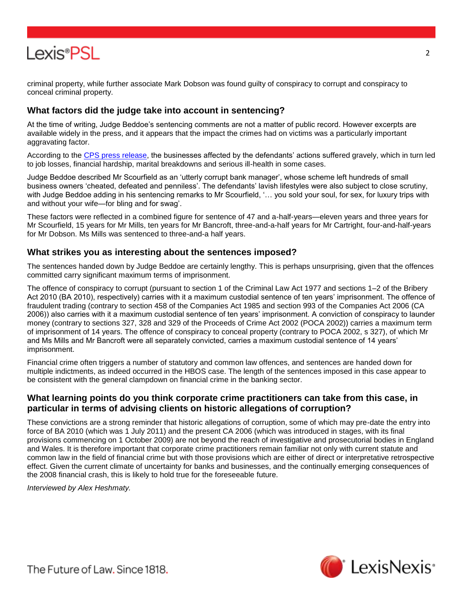

criminal property, while further associate Mark Dobson was found guilty of conspiracy to corrupt and conspiracy to conceal criminal property.

### **What factors did the judge take into account in sentencing?**

At the time of writing, Judge Beddoe's sentencing comments are not a matter of public record. However excerpts are available widely in the press, and it appears that the impact the crimes had on victims was a particularly important aggravating factor.

According to the [CPS press release,](http://http/www.cps.gov.uk/news/latest_news/former_hbos_manager_and_associates_jailed_for_fraud_and_corruption/index.html) the businesses affected by the defendants' actions suffered gravely, which in turn led to job losses, financial hardship, marital breakdowns and serious ill-health in some cases.

Judge Beddoe described Mr Scourfield as an 'utterly corrupt bank manager', whose scheme left hundreds of small business owners 'cheated, defeated and penniless'. The defendants' lavish lifestyles were also subject to close scrutiny, with Judge Beddoe adding in his sentencing remarks to Mr Scourfield, '… you sold your soul, for sex, for luxury trips with and without your wife—for bling and for swag'.

These factors were reflected in a combined figure for sentence of 47 and a-half-years—eleven years and three years for Mr Scourfield, 15 years for Mr Mills, ten years for Mr Bancroft, three-and-a-half years for Mr Cartright, four-and-half-years for Mr Dobson. Ms Mills was sentenced to three-and-a half years.

#### **What strikes you as interesting about the sentences imposed?**

The sentences handed down by Judge Beddoe are certainly lengthy. This is perhaps unsurprising, given that the offences committed carry significant maximum terms of imprisonment.

The offence of conspiracy to corrupt (pursuant to section 1 of the Criminal Law Act 1977 and sections 1–2 of the Bribery Act 2010 (BA 2010), respectively) carries with it a maximum custodial sentence of ten years' imprisonment. The offence of fraudulent trading (contrary to section 458 of the Companies Act 1985 and section 993 of the Companies Act 2006 (CA 2006)) also carries with it a maximum custodial sentence of ten years' imprisonment. A conviction of conspiracy to launder money (contrary to sections 327, 328 and 329 of the Proceeds of Crime Act 2002 (POCA 2002)) carries a maximum term of imprisonment of 14 years. The offence of conspiracy to conceal property (contrary to POCA 2002, s 327), of which Mr and Ms Mills and Mr Bancroft were all separately convicted, carries a maximum custodial sentence of 14 years' imprisonment.

Financial crime often triggers a number of statutory and common law offences, and sentences are handed down for multiple indictments, as indeed occurred in the HBOS case. The length of the sentences imposed in this case appear to be consistent with the general clampdown on financial crime in the banking sector.

# **What learning points do you think corporate crime practitioners can take from this case, in particular in terms of advising clients on historic allegations of corruption?**

These convictions are a strong reminder that historic allegations of corruption, some of which may pre-date the entry into force of BA 2010 (which was 1 July 2011) and the present CA 2006 (which was introduced in stages, with its final provisions commencing on 1 October 2009) are not beyond the reach of investigative and prosecutorial bodies in England and Wales. It is therefore important that corporate crime practitioners remain familiar not only with current statute and common law in the field of financial crime but with those provisions which are either of direct or interpretative retrospective effect. Given the current climate of uncertainty for banks and businesses, and the continually emerging consequences of the 2008 financial crash, this is likely to hold true for the foreseeable future.

*Interviewed by Alex Heshmaty.*